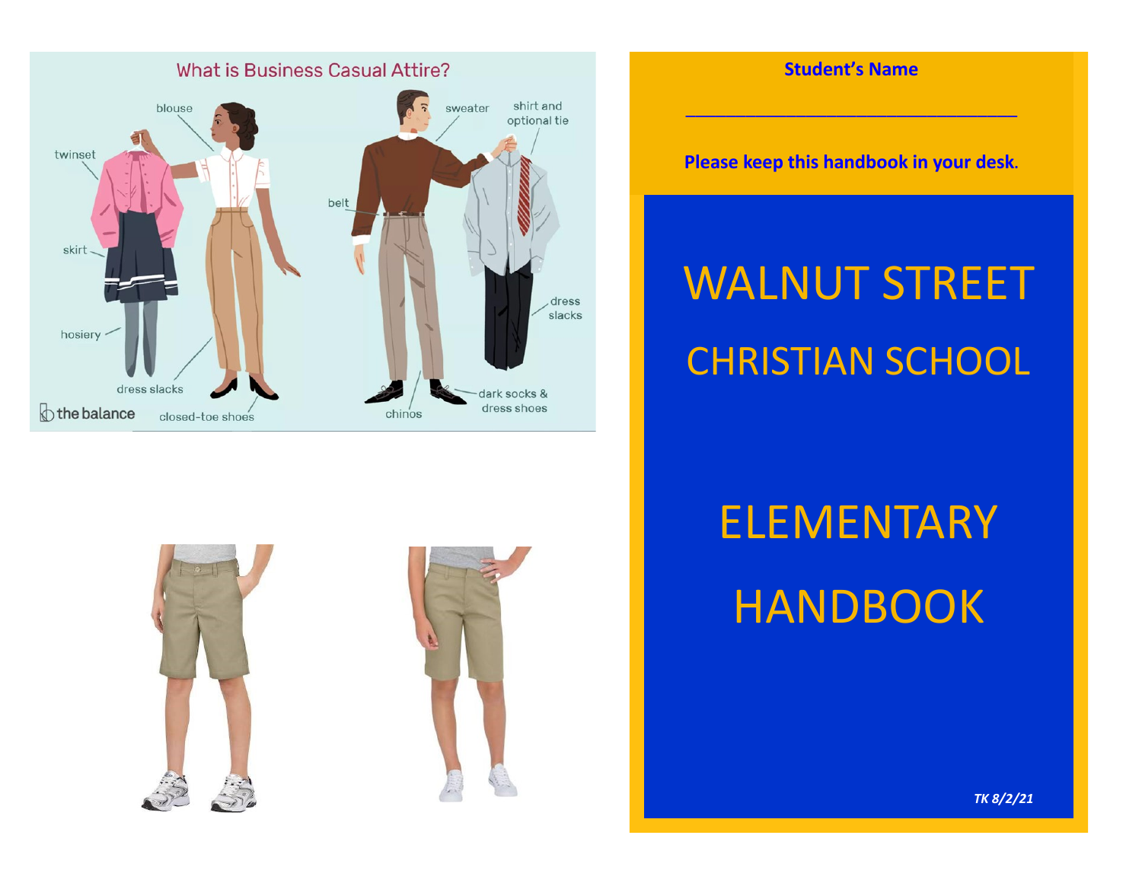

## **Student's Name**

\_\_\_\_\_\_\_\_\_\_\_\_\_\_\_\_\_\_\_\_\_\_\_\_\_\_\_\_\_\_\_\_\_

**Please keep this handbook in your desk.**

# WALNUT STREET CHRISTIAN SCHOOL



# ELEMENTARY **HANDBOOK**

*TK 8/2/21*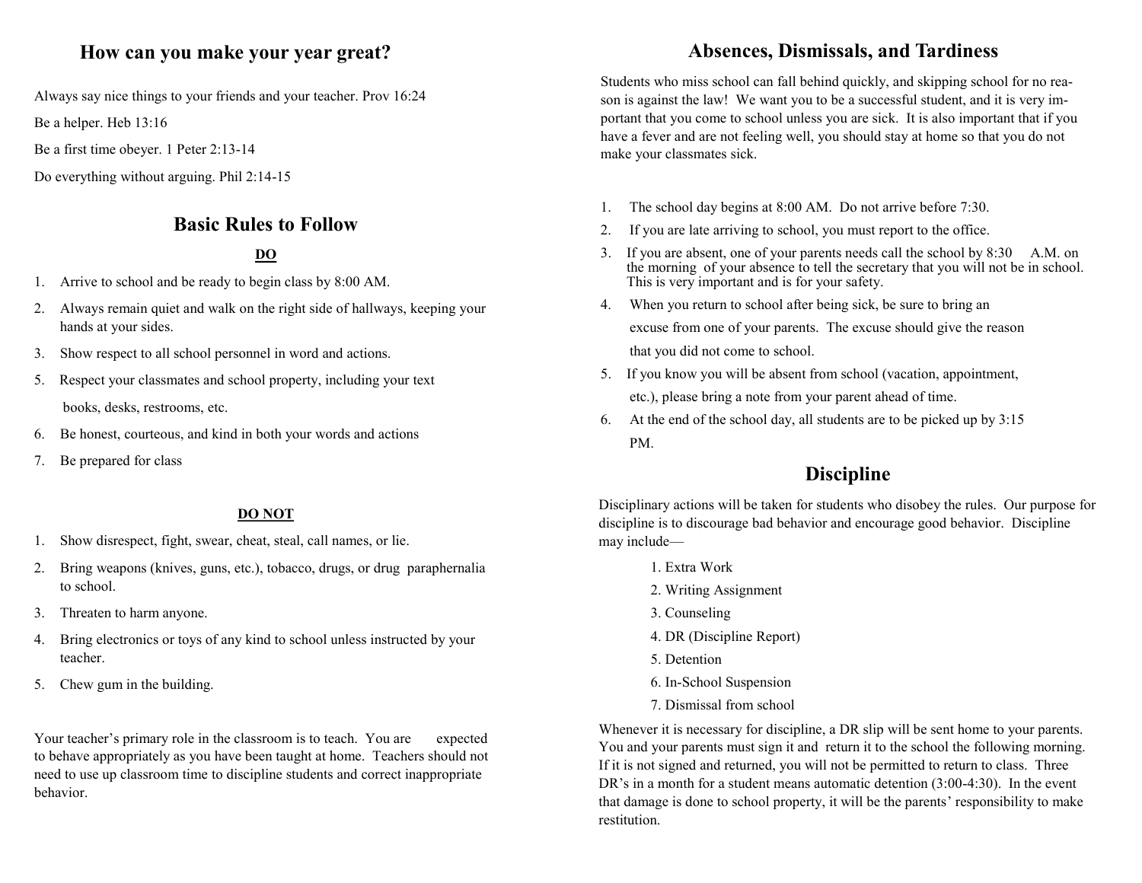## **How can you make your year great?**

Always say nice things to your friends and your teacher. Prov 16:24

Be a helper. Heb 13:16

Be a first time obeyer. 1 Peter 2:13-14

Do everything without arguing. Phil 2:14-15

## **Basic Rules to Follow**

### **DO**

- 1. Arrive to school and be ready to begin class by 8:00 AM.
- 2. Always remain quiet and walk on the right side of hallways, keeping your hands at your sides.
- 3. Show respect to all school personnel in word and actions.
- 5. Respect your classmates and school property, including your text books, desks, restrooms, etc.
- 6. Be honest, courteous, and kind in both your words and actions
- 7. Be prepared for class

#### **DO NOT**

- 1. Show disrespect, fight, swear, cheat, steal, call names, or lie.
- 2. Bring weapons (knives, guns, etc.), tobacco, drugs, or drug paraphernalia to school.
- 3. Threaten to harm anyone.
- 4. Bring electronics or toys of any kind to school unless instructed by your teacher.
- 5. Chew gum in the building.

Your teacher's primary role in the classroom is to teach. You are expected to behave appropriately as you have been taught at home. Teachers should not need to use up classroom time to discipline students and correct inappropriate behavior.

## **Absences, Dismissals, and Tardiness**

Students who miss school can fall behind quickly, and skipping school for no reason is against the law! We want you to be a successful student, and it is very important that you come to school unless you are sick. It is also important that if you have a fever and are not feeling well, you should stay at home so that you do not make your classmates sick.

- 1. The school day begins at 8:00 AM. Do not arrive before 7:30.
- 2. If you are late arriving to school, you must report to the office.
- 3. If you are absent, one of your parents needs call the school by 8:30 A.M. on the morning of your absence to tell the secretary that you will not be in school. This is very important and is for your safety.
- 4. When you return to school after being sick, be sure to bring an excuse from one of your parents. The excuse should give the reason that you did not come to school.
- 5. If you know you will be absent from school (vacation, appointment, etc.), please bring a note from your parent ahead of time.
- 6. At the end of the school day, all students are to be picked up by 3:15 PM.

## **Discipline**

Disciplinary actions will be taken for students who disobey the rules. Our purpose for discipline is to discourage bad behavior and encourage good behavior. Discipline may include—

- 1. Extra Work
- 2. Writing Assignment
- 3. Counseling
- 4. DR (Discipline Report)
- 5. Detention
- 6. In-School Suspension
- 7. Dismissal from school

Whenever it is necessary for discipline, a DR slip will be sent home to your parents. You and your parents must sign it and return it to the school the following morning. If it is not signed and returned, you will not be permitted to return to class. Three DR's in a month for a student means automatic detention (3:00-4:30). In the event that damage is done to school property, it will be the parents' responsibility to make restitution.